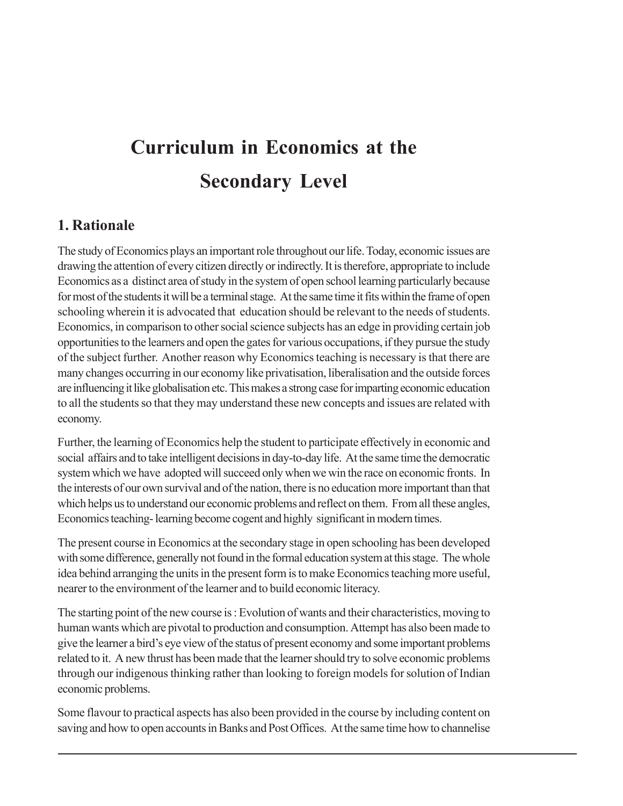## **Curriculum in Economics at the Secondary Level**

#### **1. Rationale**

The study of Economics plays an important role throughout our life. Today, economic issues are drawing the attention of every citizen directly or indirectly. It is therefore, appropriate to include Economics as a distinct area of study in the system of open school learning particularly because for most of the students it will be a terminal stage. At the same time it fits within the frame of open schooling wherein it is advocated that education should be relevant to the needs of students. Economics, in comparison to other social science subjects has an edge in providing certain job opportunities to the learners and open the gates for various occupations, if they pursue the study of the subject further. Another reason why Economics teaching is necessary is that there are many changes occurring in our economy like privatisation, liberalisation and the outside forces are influencing it like globalisation etc. This makes a strong case for imparting economic education to all the students so that they may understand these new concepts and issues are related with economy.

Further, the learning of Economics help the student to participate effectively in economic and social affairs and to take intelligent decisions in day-to-day life. At the same time the democratic system which we have adopted will succeed only when we win the race on economic fronts. In the interests of our own survival and of the nation, there is no education more important than that which helps us to understand our economic problems and reflect on them. From all these angles, Economics teaching- learning become cogent and highly significant in modern times.

The present course in Economics at the secondary stage in open schooling has been developed with some difference, generally not found in the formal education system at this stage. The whole idea behind arranging the units in the present form is to make Economics teaching more useful, nearer to the environment of the learner and to build economic literacy.

The starting point of the new course is : Evolution of wants and their characteristics, moving to human wants which are pivotal to production and consumption. Attempt has also been made to give the learner a bird's eye view of the status of present economy and some important problems related to it. A new thrust has been made that the learner should try to solve economic problems through our indigenous thinking rather than looking to foreign models for solution of Indian economic problems.

Some flavour to practical aspects has also been provided in the course by including content on saving and how to open accounts in Banks and Post Offices. At the same time how to channelise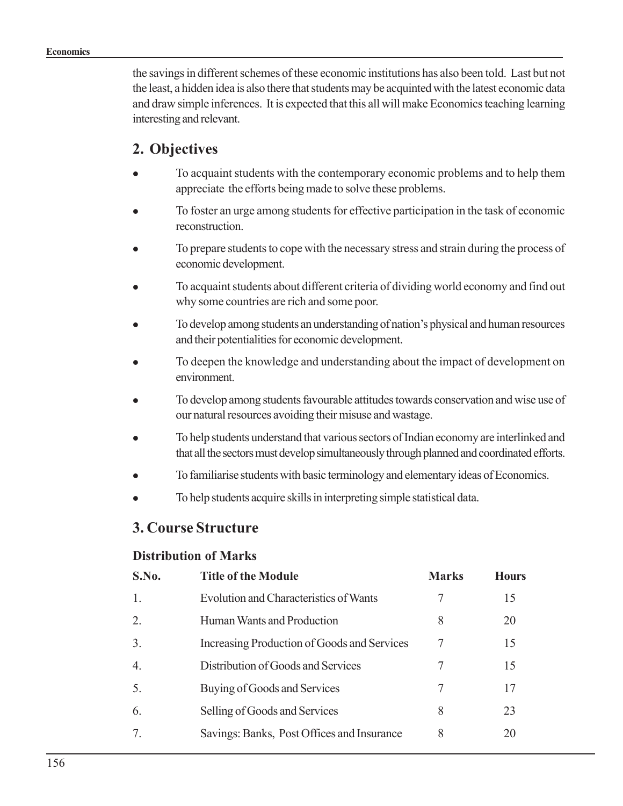the savings in different schemes of these economic institutions has also been told. Last but not the least, a hidden idea is also there that students may be acquinted with the latest economic data and draw simple inferences. It is expected that this all will make Economics teaching learning interesting and relevant.

### **2. Objectives**

- To acquaint students with the contemporary economic problems and to help them appreciate the efforts being made to solve these problems.
- To foster an urge among students for effective participation in the task of economic **reconstruction**
- To prepare students to cope with the necessary stress and strain during the process of economic development.
- To acquaint students about different criteria of dividing world economy and find out why some countries are rich and some poor.
- To develop among students an understanding of nation's physical and human resources and their potentialities for economic development.
- To deepen the knowledge and understanding about the impact of development on environment.
- To develop among students favourable attitudes towards conservation and wise use of our natural resources avoiding their misuse and wastage.
- To help students understand that various sectors of Indian economy are interlinked and that all the sectors must develop simultaneously through planned and coordinated efforts.
- To familiarise students with basic terminology and elementary ideas of Economics.
- To help students acquire skills in interpreting simple statistical data.

### **3. Course Structure**

#### **Distribution of Marks**

| S.No.    | <b>Title of the Module</b>                  | <b>Marks</b> | <b>Hours</b> |
|----------|---------------------------------------------|--------------|--------------|
|          | Evolution and Characteristics of Wants      |              | 15           |
|          | Human Wants and Production                  | 8            | 20           |
| 3        | Increasing Production of Goods and Services | 7            | 15           |
| 4        | Distribution of Goods and Services          | 7            | 15           |
| $\Delta$ | Buying of Goods and Services                | 7            | 17           |
| 6        | Selling of Goods and Services               | 8            | 23           |
|          | Savings: Banks, Post Offices and Insurance  | 8            | 20           |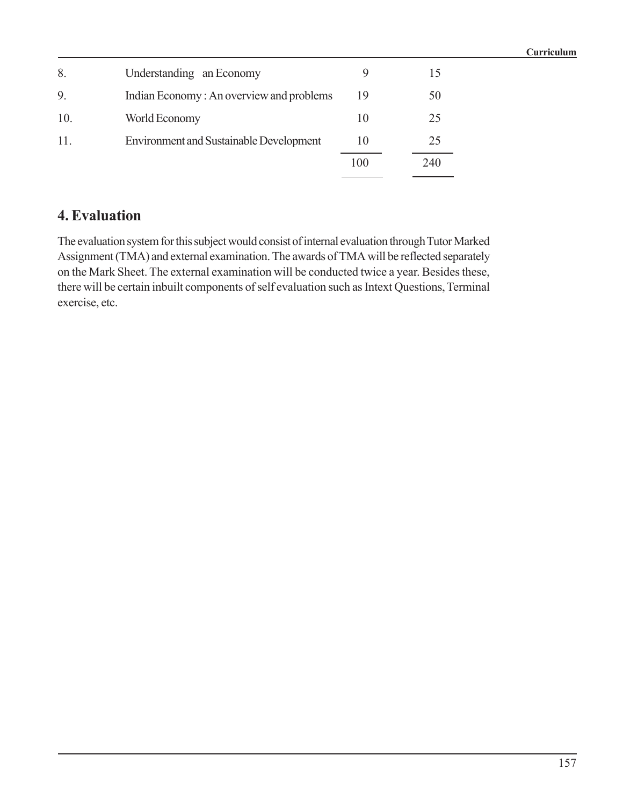|     |                                                |     |     | Curriculum |
|-----|------------------------------------------------|-----|-----|------------|
| 8.  | Understanding an Economy                       |     | 15  |            |
| 9.  | Indian Economy: An overview and problems       | 19  | 50  |            |
| 10. | World Economy                                  | 10  | 25  |            |
| 11. | <b>Environment and Sustainable Development</b> | 10  | 25  |            |
|     |                                                | 100 | 240 |            |

### **4. Evaluation**

The evaluation system for this subject would consist of internal evaluation through Tutor Marked Assignment (TMA) and external examination. The awards of TMA will be reflected separately on the Mark Sheet. The external examination will be conducted twice a year. Besides these, there will be certain inbuilt components of self evaluation such as Intext Questions, Terminal exercise, etc.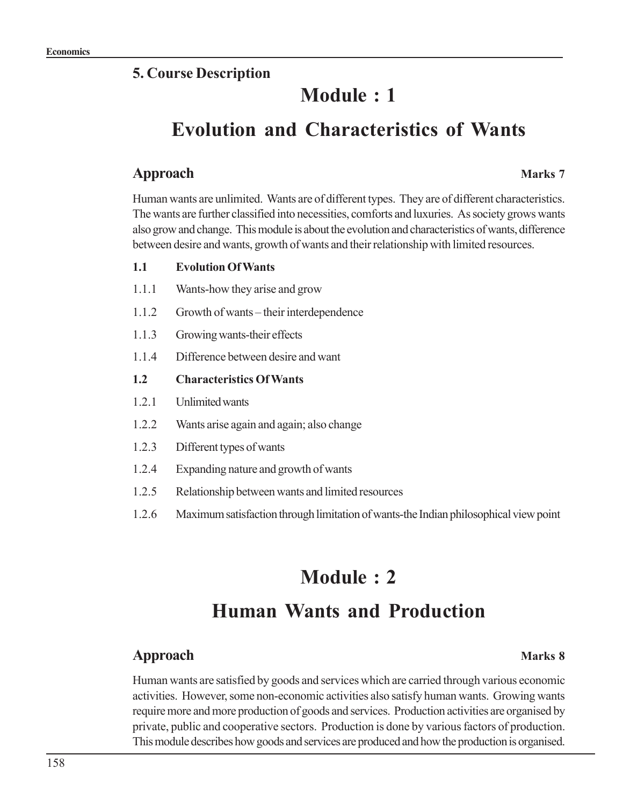### **5. Course Description**

## **Module : 1**

## **Evolution and Characteristics of Wants**

### **Approach Marks 7**

Human wants are unlimited. Wants are of different types. They are of different characteristics. The wants are further classified into necessities, comforts and luxuries. As society grows wants also grow and change. This module is about the evolution and characteristics of wants, difference between desire and wants, growth of wants and their relationship with limited resources.

#### **1.1 Evolution Of Wants**

- 1.1.1 Wants-how they arise and grow
- 1.1.2 Growth of wants their interdependence
- 1.1.3 Growing wants-their effects
- 1.1.4 Difference between desire and want

#### **1.2 Characteristics Of Wants**

- 1.2.1 Unlimited wants
- 1.2.2 Wants arise again and again; also change
- 1.2.3 Different types of wants
- 1.2.4 Expanding nature and growth of wants
- 1.2.5 Relationship between wants and limited resources
- 1.2.6 Maximum satisfaction through limitation of wants-the Indian philosophical view point

# **Module : 2**

## **Human Wants and Production**

### **Approach Marks 8**

Human wants are satisfied by goods and services which are carried through various economic activities. However, some non-economic activities also satisfy human wants. Growing wants require more and more production of goods and services. Production activities are organised by private, public and cooperative sectors. Production is done by various factors of production. This module describes how goods and services are produced and how the production is organised.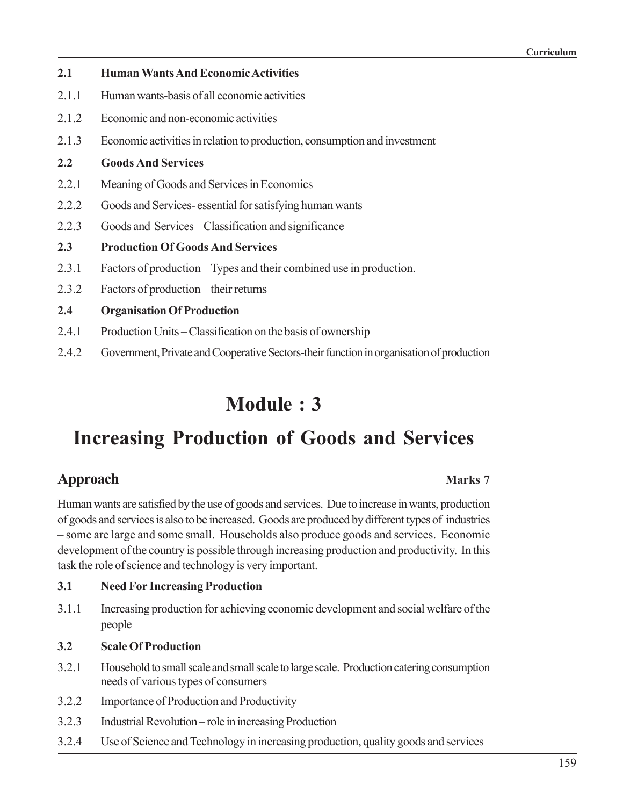| 2.1   | <b>Human Wants And Economic Activities</b>                                |
|-------|---------------------------------------------------------------------------|
| 2.1.1 | Human wants-basis of all economic activities                              |
| 2.1.2 | Economic and non-economic activities                                      |
| 2.1.3 | Economic activities in relation to production, consumption and investment |
| 2.2   | <b>Goods And Services</b>                                                 |
| 2.2.1 | Meaning of Goods and Services in Economics                                |
| 2.2.2 | Goods and Services-essential for satisfying human wants                   |
| 2.2.3 | Goods and Services – Classification and significance                      |
| 2.3   | <b>Production Of Goods And Services</b>                                   |
| 2.3.1 | Factors of production - Types and their combined use in production.       |
| 2.3.2 | Factors of production – their returns                                     |
| 2.4   | <b>Organisation Of Production</b>                                         |
| 2.4.1 | Production Units – Classification on the basis of ownership               |

2.4.2 Government, Private and Cooperative Sectors-their function in organisation of production

## **Module : 3**

## **Increasing Production of Goods and Services**

### **Approach Marks** 7

Human wants are satisfied by the use of goods and services. Due to increase in wants, production of goods and services is also to be increased. Goods are produced by different types of industries – some are large and some small. Households also produce goods and services. Economic development of the country is possible through increasing production and productivity. In this task the role of science and technology is very important.

- **3.1 Need For Increasing Production**
- 3.1.1 Increasing production for achieving economic development and social welfare of the people
- **3.2 Scale Of Production**
- 3.2.1 Household to small scale and small scale to large scale. Production catering consumption needs of various types of consumers
- 3.2.2 Importance of Production and Productivity
- 3.2.3 Industrial Revolution role in increasing Production
- 3.2.4 Use of Science and Technology in increasing production, quality goods and services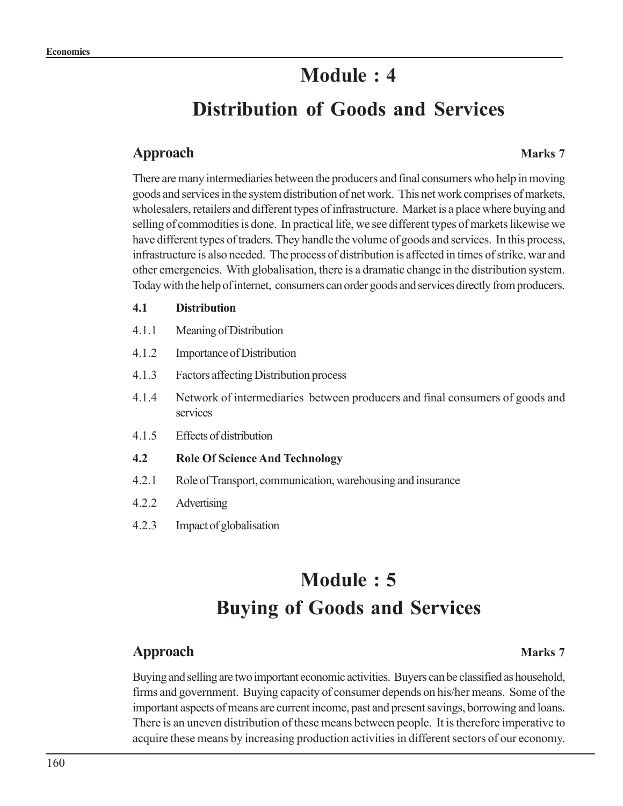## **Module : 4**

## **Distribution of Goods and Services**

#### **Approach Marks 7**

There are many intermediaries between the producers and final consumers who help in moving goods and services in the system distribution of net work. This net work comprises of markets, wholesalers, retailers and different types of infrastructure. Market is a place where buying and selling of commodities is done. In practical life, we see different types of markets likewise we have different types of traders. They handle the volume of goods and services. In this process, infrastructure is also needed. The process of distribution is affected in times of strike, war and other emergencies. With globalisation, there is a dramatic change in the distribution system. Today with the help of internet, consumers can order goods and services directly from producers.

#### **4.1 Distribution**

- 4.1.1 Meaning of Distribution
- 4.1.2 Importance of Distribution
- 4.1.3 Factors affecting Distribution process
- 4.1.4 Network of intermediaries between producers and final consumers of goods and services
- 4.1.5 Effects of distribution

#### **4.2 Role Of Science And Technology**

- 4.2.1 Role of Transport, communication, warehousing and insurance
- 4.2.2 Advertising
- 4.2.3 Impact of globalisation

## **Module : 5 Buying of Goods and Services**

### **Approach Marks 7**

Buying and selling are two important economic activities. Buyers can be classified as household, firms and government. Buying capacity of consumer depends on his/her means. Some of the important aspects of means are current income, past and present savings, borrowing and loans. There is an uneven distribution of these means between people. It is therefore imperative to acquire these means by increasing production activities in different sectors of our economy.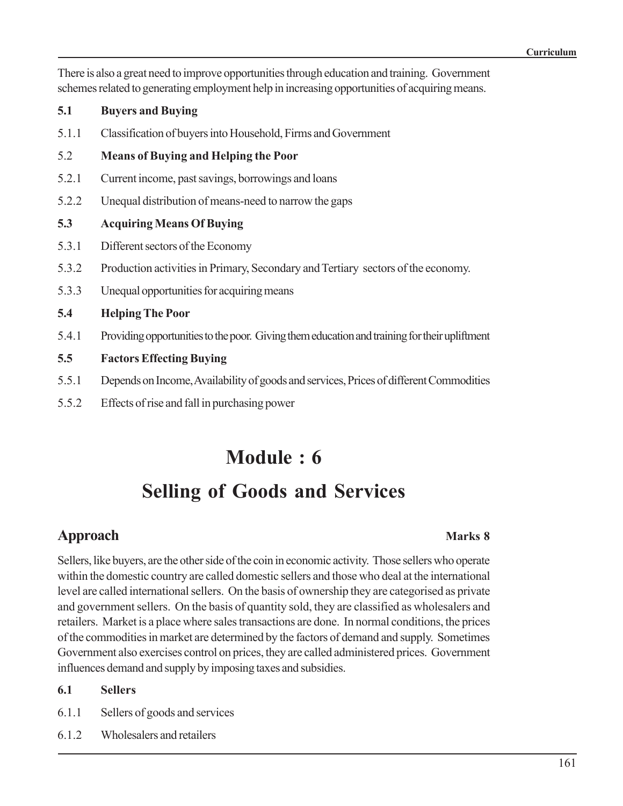There is also a great need to improve opportunities through education and training. Government schemes related to generating employment help in increasing opportunities of acquiring means.

#### **5.1 Buyers and Buying**

5.1.1 Classification of buyers into Household, Firms and Government

#### 5.2 **Means of Buying and Helping the Poor**

- 5.2.1 Current income, past savings, borrowings and loans
- 5.2.2 Unequal distribution of means-need to narrow the gaps

#### **5.3 Acquiring Means Of Buying**

- 5.3.1 Different sectors of the Economy
- 5.3.2 Production activities in Primary, Secondary and Tertiary sectors of the economy.
- 5.3.3 Unequal opportunities for acquiring means

#### **5.4 Helping The Poor**

5.4.1 Providing opportunities to the poor. Giving them education and training for their upliftment

#### **5.5 Factors Effecting Buying**

- 5.5.1 Depends on Income, Availability of goods and services, Prices of different Commodities
- 5.5.2 Effects of rise and fall in purchasing power

## **Module : 6**

## **Selling of Goods and Services**

### **Approach Marks 8**

Sellers, like buyers, are the other side of the coin in economic activity. Those sellers who operate within the domestic country are called domestic sellers and those who deal at the international level are called international sellers. On the basis of ownership they are categorised as private and government sellers. On the basis of quantity sold, they are classified as wholesalers and retailers. Market is a place where sales transactions are done. In normal conditions, the prices of the commodities in market are determined by the factors of demand and supply. Sometimes Government also exercises control on prices, they are called administered prices. Government influences demand and supply by imposing taxes and subsidies.

#### **6.1 Sellers**

- 6.1.1 Sellers of goods and services
- 6.1.2 Wholesalers and retailers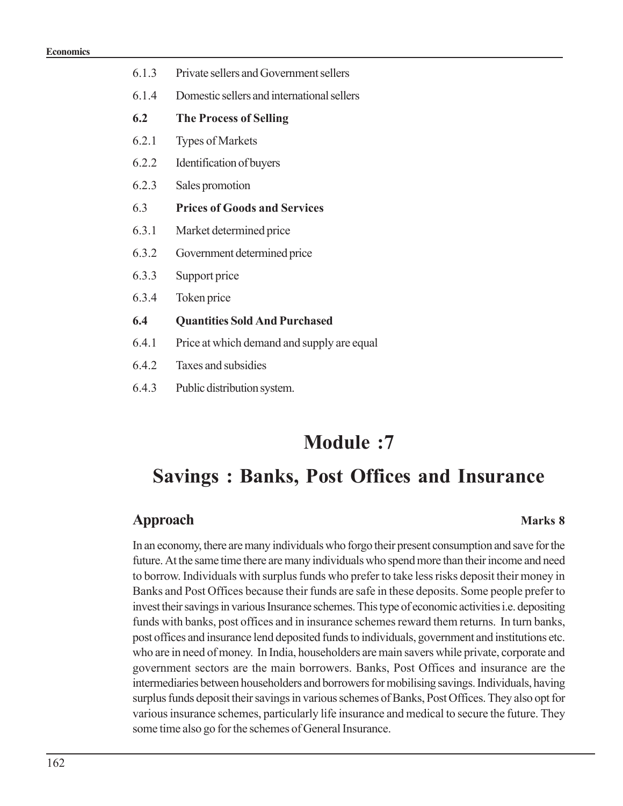- 6.1.3 Private sellers and Government sellers
- 6.1.4 Domestic sellers and international sellers
- **6.2 The Process of Selling**
- 6.2.1 Types of Markets
- 6.2.2 Identification of buyers
- 6.2.3 Sales promotion
- 6.3 **Prices of Goods and Services**
- 6.3.1 Market determined price
- 6.3.2 Government determined price
- 6.3.3 Support price
- 6.3.4 Token price
- **6.4 Quantities Sold And Purchased**
- 6.4.1 Price at which demand and supply are equal
- 6.4.2 Taxes and subsidies
- 6.4.3 Public distribution system.

## **Module :7**

## **Savings : Banks, Post Offices and Insurance**

#### **Approach Marks 8**

In an economy, there are many individuals who forgo their present consumption and save for the future. At the same time there are many individuals who spend more than their income and need to borrow. Individuals with surplus funds who prefer to take less risks deposit their money in Banks and Post Offices because their funds are safe in these deposits. Some people prefer to invest their savings in various Insurance schemes. This type of economic activities i.e. depositing funds with banks, post offices and in insurance schemes reward them returns. In turn banks, post offices and insurance lend deposited funds to individuals, government and institutions etc. who are in need of money. In India, householders are main savers while private, corporate and government sectors are the main borrowers. Banks, Post Offices and insurance are the intermediaries between householders and borrowers for mobilising savings. Individuals, having surplus funds deposit their savings in various schemes of Banks, Post Offices. They also opt for various insurance schemes, particularly life insurance and medical to secure the future. They some time also go for the schemes of General Insurance.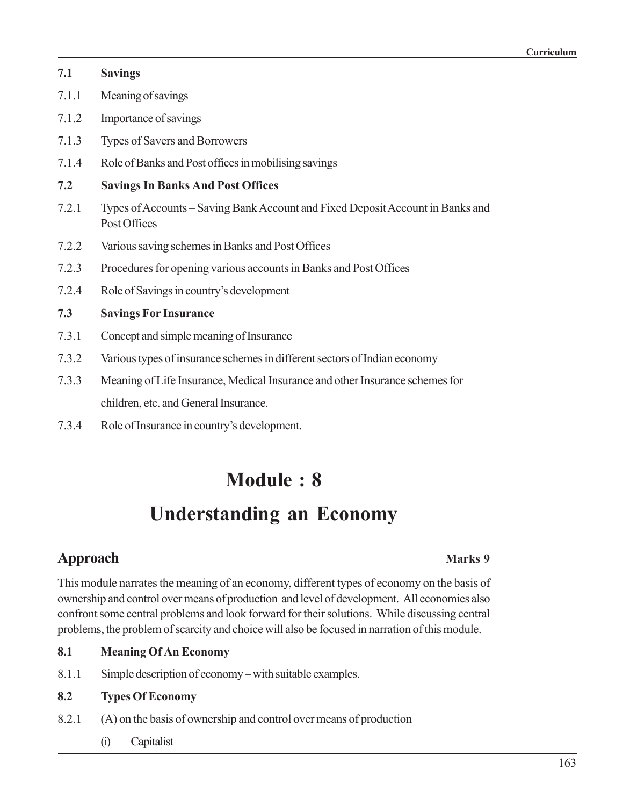| 7.1   | <b>Savings</b>                                                                                 |
|-------|------------------------------------------------------------------------------------------------|
| 7.1.1 | Meaning of savings                                                                             |
| 7.1.2 | Importance of savings                                                                          |
| 7.1.3 | Types of Savers and Borrowers                                                                  |
| 7.1.4 | Role of Banks and Post offices in mobilising savings                                           |
| 7.2   | <b>Savings In Banks And Post Offices</b>                                                       |
| 7.2.1 | Types of Accounts – Saving Bank Account and Fixed Deposit Account in Banks and<br>Post Offices |
| 7.2.2 | Various saving schemes in Banks and Post Offices                                               |
| 7.2.3 | Procedures for opening various accounts in Banks and Post Offices                              |
| 7.2.4 | Role of Savings in country's development                                                       |
| 7.3   | <b>Savings For Insurance</b>                                                                   |
| 7.3.1 | Concept and simple meaning of Insurance                                                        |
| 7.3.2 | Various types of insurance schemes in different sectors of Indian economy                      |
| 7.3.3 | Meaning of Life Insurance, Medical Insurance and other Insurance schemes for                   |
|       | children, etc. and General Insurance.                                                          |

7.3.4 Role of Insurance in country's development.

## **Module : 8**

## **Understanding an Economy**

## **Approach Marks** 9

This module narrates the meaning of an economy, different types of economy on the basis of ownership and control overmeans of production and level of development. All economies also confront some central problems and look forward for their solutions. While discussing central problems, the problem of scarcity and choice will also be focused in narration of this module.

### **8.1 Meaning Of An Economy**

8.1.1 Simple description of economy – with suitable examples.

### **8.2 Types Of Economy**

- 8.2.1 (A) on the basis of ownership and control over means of production
	- (i) Capitalist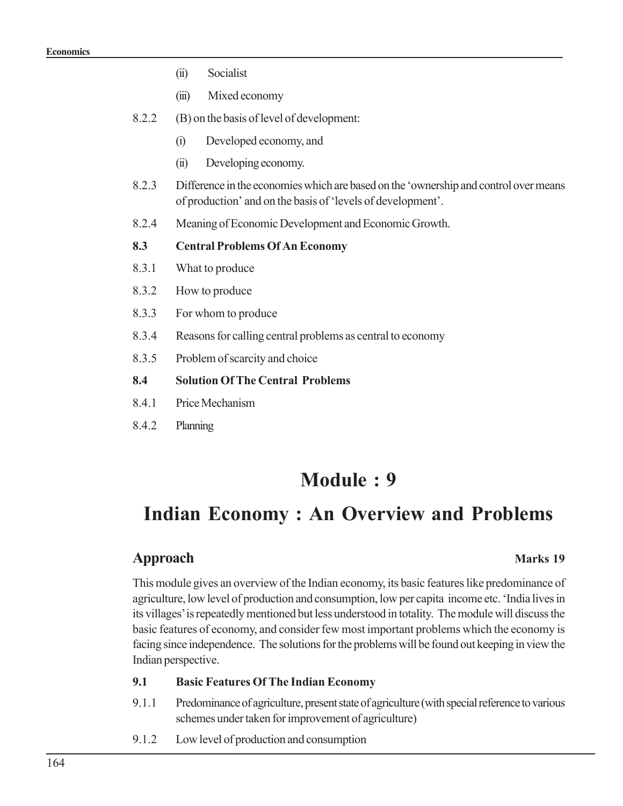- (ii) Socialist
- (iii) Mixed economy
- 8.2.2 (B) on the basis of level of development:
	- (i) Developed economy, and
	- (ii) Developing economy.
- 8.2.3 Difference in the economies which are based on the 'ownership and control over means of production' and on the basis of 'levels of development'.
- 8.2.4 Meaning of Economic Development and Economic Growth.

#### **8.3 Central Problems Of An Economy**

- 8.3.1 What to produce
- 8.3.2 How to produce
- 8.3.3 For whom to produce
- 8.3.4 Reasons for calling central problems as central to economy
- 8.3.5 Problem of scarcity and choice

#### **8.4 Solution Of The Central Problems**

- 8.4.1 Price Mechanism
- 8.4.2 Planning

## **Module : 9**

## **Indian Economy : An Overview and Problems**

#### **Approach Marks** 19

This module gives an overview of the Indian economy, its basic features like predominance of agriculture, low level of production and consumption, low per capita income etc. 'India lives in its villages' is repeatedly mentioned but less understood in totality. The module will discuss the basic features of economy, and consider few most important problems which the economy is facing since independence. The solutions for the problems will be found out keeping in view the Indian perspective.

#### **9.1 Basic Features Of The Indian Economy**

- 9.1.1 Predominance of agriculture, present state of agriculture (with special reference to various schemes under taken for improvement of agriculture)
- 9.1.2 Low level of production and consumption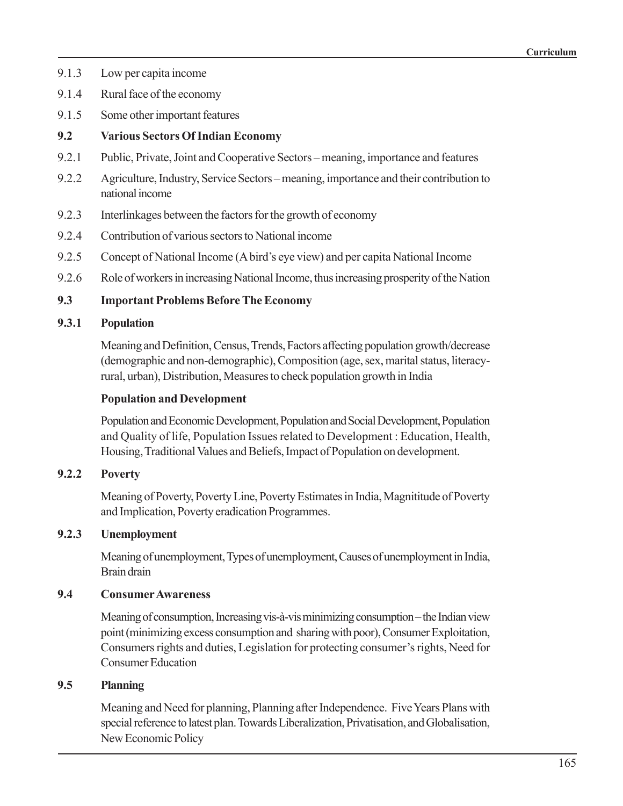- 9.1.3 Low per capita income
- 9.1.4 Rural face of the economy
- 9.1.5 Some other important features

#### **9.2 Various Sectors Of Indian Economy**

- 9.2.1 Public, Private, Joint and Cooperative Sectors meaning, importance and features
- 9.2.2 Agriculture, Industry, Service Sectors meaning, importance and their contribution to national income
- 9.2.3 Interlinkages between the factors for the growth of economy
- 9.2.4 Contribution of various sectors to National income
- 9.2.5 Concept of National Income (A bird's eye view) and per capita National Income
- 9.2.6 Role of workers in increasing National Income, thus increasing prosperity of the Nation

#### **9.3 Important Problems Before The Economy**

#### **9.3.1 Population**

Meaning and Definition, Census, Trends, Factors affecting population growth/decrease (demographic and non-demographic), Composition (age, sex, marital status, literacyrural, urban), Distribution, Measures to check population growth in India

#### **Population and Development**

Population and Economic Development, Population and Social Development, Population and Quality of life, Population Issues related to Development : Education, Health, Housing, Traditional Values and Beliefs, Impact of Population on development.

#### **9.2.2 Poverty**

Meaning of Poverty, Poverty Line, Poverty Estimates in India, Magnititude of Poverty and Implication, Poverty eradication Programmes.

#### **9.2.3 Unemployment**

Meaning of unemployment, Types of unemployment, Causes of unemployment in India, Brain drain

#### **9.4 Consumer Awareness**

Meaning of consumption, Increasing vis-à-vis minimizing consumption – the Indian view point (minimizing excess consumption and sharing with poor), Consumer Exploitation, Consumers rights and duties, Legislation for protecting consumer's rights, Need for Consumer Education

#### **9.5 Planning**

Meaning and Need for planning, Planning after Independence. Five Years Plans with special reference to latest plan. Towards Liberalization, Privatisation, and Globalisation, New Economic Policy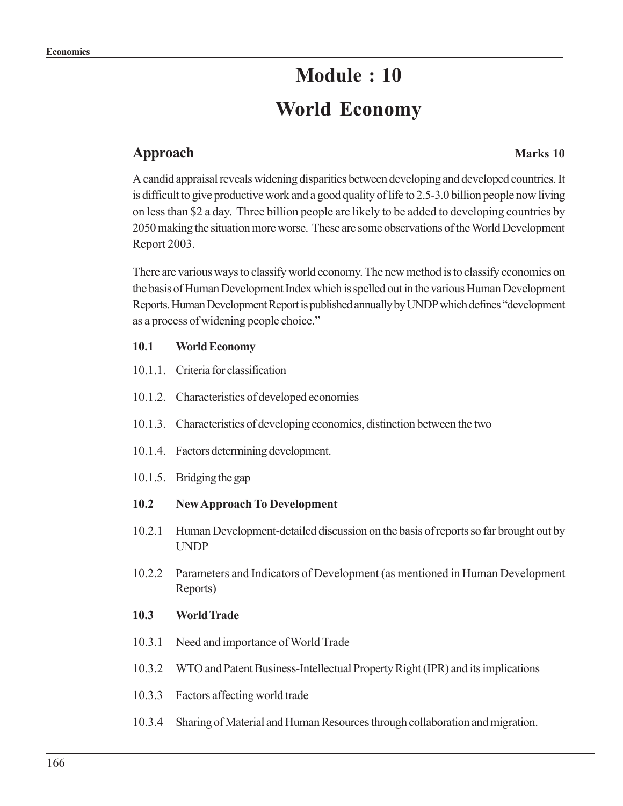## **Module : 10 World Economy**

#### **Approach Marks 10**

A candid appraisal reveals widening disparities between developing and developed countries. It is difficult to give productive work and a good quality of life to 2.5-3.0 billion people now living on less than \$2 a day. Three billion people are likely to be added to developing countries by 2050 making the situation more worse. These are some observations of the World Development Report 2003.

There are various ways to classify world economy. The new method is to classify economies on the basis of Human Development Index which is spelled out in the various Human Development Reports. Human Development Report is published annually by UNDP which defines "development as a process of widening people choice."

#### **10.1 World Economy**

- 10.1.1. Criteria for classification
- 10.1.2. Characteristics of developed economies
- 10.1.3. Characteristics of developing economies, distinction between the two
- 10.1.4. Factors determining development.
- 10.1.5. Bridging the gap

#### **10.2 New Approach To Development**

- 10.2.1 Human Development-detailed discussion on the basis of reports so far brought out by UNDP
- 10.2.2 Parameters and Indicators of Development (as mentioned in Human Development Reports)

#### **10.3 World Trade**

- 10.3.1 Need and importance of World Trade
- 10.3.2 WTO and Patent Business-Intellectual Property Right (IPR) and its implications
- 10.3.3 Factors affecting world trade
- 10.3.4 Sharing of Material and Human Resources through collaboration and migration.